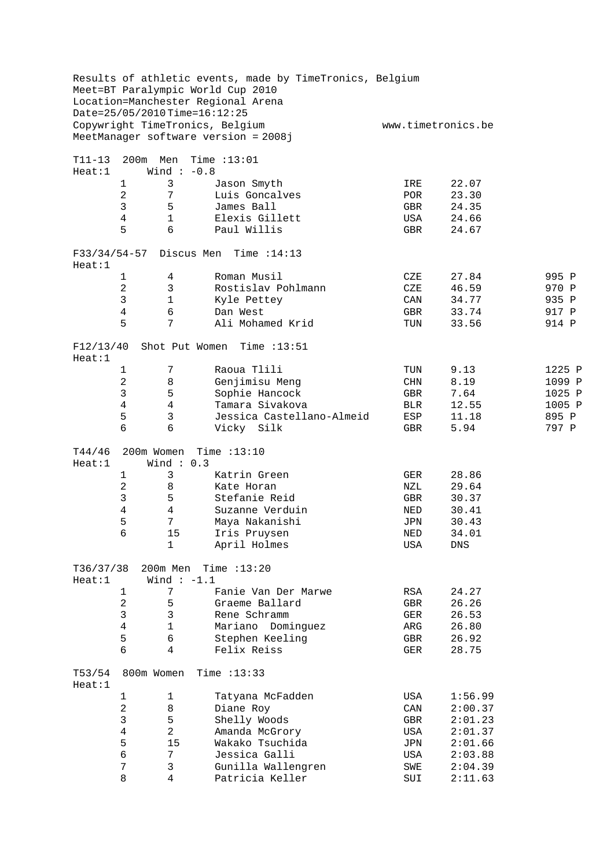|                     |                | Date=25/05/2010Time=16:12:25 | Results of athletic events, made by TimeTronics, Belgium<br>Meet=BT Paralympic World Cup 2010<br>Location=Manchester Regional Arena |            |                    |        |
|---------------------|----------------|------------------------------|-------------------------------------------------------------------------------------------------------------------------------------|------------|--------------------|--------|
|                     |                |                              | Copywright TimeTronics, Belgium<br>MeetManager software version = 2008j                                                             |            | www.timetronics.be |        |
| T11-13<br>Heat:1    | 200m           | Men<br>Wind $: -0.8$         | Time $:13:01$                                                                                                                       |            |                    |        |
|                     | 1              | 3                            | Jason Smyth                                                                                                                         | IRE        | 22.07              |        |
|                     | $\overline{2}$ | 7                            | Luis Goncalves                                                                                                                      | <b>POR</b> | 23.30              |        |
|                     | 3              | 5                            | James Ball                                                                                                                          | GBR        | 24.35              |        |
|                     | $\overline{4}$ | $\mathbf 1$                  | Elexis Gillett                                                                                                                      | USA        | 24.66              |        |
|                     | 5              | 6                            | Paul Willis                                                                                                                         | GBR        | 24.67              |        |
| Heat:1              |                |                              | F33/34/54-57 Discus Men Time :14:13                                                                                                 |            |                    |        |
|                     | $\mathbf{1}$   | 4                            | Roman Musil                                                                                                                         | CZE        | 27.84              | 995 P  |
|                     | 2              | 3                            | Rostislav Pohlmann                                                                                                                  | CZE        | 46.59              | 970 P  |
|                     | 3              | 1                            | Kyle Pettey                                                                                                                         | CAN        | 34.77              | 935 P  |
|                     | $\overline{4}$ | 6                            | Dan West                                                                                                                            | GBR        | 33.74              | 917 P  |
|                     | 5              | 7                            | Ali Mohamed Krid                                                                                                                    | TUN        | 33.56              | 914 P  |
| F12/13/40<br>Heat:1 |                |                              | Shot Put Women Time : 13:51                                                                                                         |            |                    |        |
|                     | 1              | 7                            | Raoua Tlili                                                                                                                         | TUN        | 9.13               | 1225 P |
|                     | 2              | 8                            | Genjimisu Meng                                                                                                                      | $\rm CHN$  | 8.19               | 1099 P |
|                     | 3              | 5                            | Sophie Hancock                                                                                                                      | GBR        | 7.64               | 1025 P |
|                     | $\overline{4}$ | $\overline{4}$               | Tamara Sivakova                                                                                                                     | <b>BLR</b> | 12.55              | 1005 P |
|                     | 5              | $\mathbf{3}$                 | Jessica Castellano-Almeid                                                                                                           | ESP        | 11.18              | 895 P  |
|                     | 6              | 6                            | Vicky Silk                                                                                                                          | GBR        | 5.94               | 797 P  |
| T44/46<br>Heat:1    |                | 200m Women<br>Wind: $0.3$    | Time $:13:10$                                                                                                                       |            |                    |        |
|                     | 1              | 3                            | Katrin Green                                                                                                                        | GER        | 28.86              |        |
|                     | 2              | 8                            | Kate Horan                                                                                                                          | NZL        | 29.64              |        |
|                     | 3              | 5                            | Stefanie Reid                                                                                                                       | <b>GBR</b> | 30.37              |        |
|                     | 4              | $\overline{4}$               | Suzanne Verduin                                                                                                                     | NED        | 30.41              |        |
|                     | 5              | 7                            | Maya Nakanishi                                                                                                                      | JPN        | 30.43              |        |
|                     | б              | $15$                         | Iris Pruysen                                                                                                                        | $\rm NED$  | 34.01              |        |
|                     |                | $\mathbf 1$                  | April Holmes                                                                                                                        | USA        | DNS                |        |
| T36/37/38           |                | 200m Men                     | Time $:13:20$                                                                                                                       |            |                    |        |
| Heat:1              |                | Wind $:-1.1$                 |                                                                                                                                     |            |                    |        |
|                     | 1              | 7                            | Fanie Van Der Marwe                                                                                                                 | RSA        | 24.27              |        |
|                     | 2              | 5                            | Graeme Ballard                                                                                                                      | GBR        | 26.26              |        |
|                     | 3              | $\mathfrak{Z}$               | Rene Schramm                                                                                                                        | GER        | 26.53              |        |
|                     | $\overline{4}$ | $\mathbf{1}$                 | Mariano Dominguez                                                                                                                   | ARG        | 26.80              |        |
|                     | 5<br>6         | 6<br>4                       | Stephen Keeling<br>Felix Reiss                                                                                                      | GBR<br>GER | 26.92<br>28.75     |        |
| T53/54              |                | 800m Women                   | Time $:13:33$                                                                                                                       |            |                    |        |
| Heat:1              | 1              | 1                            | Tatyana McFadden                                                                                                                    | USA        | 1:56.99            |        |
|                     | 2              | 8                            | Diane Roy                                                                                                                           | CAN        | 2:00.37            |        |
|                     | 3              | 5                            | Shelly Woods                                                                                                                        | GBR        | 2:01.23            |        |
|                     | $\overline{4}$ | $\sqrt{2}$                   | Amanda McGrory                                                                                                                      | USA        | 2:01.37            |        |
|                     | 5              | 15                           | Wakako Tsuchida                                                                                                                     | JPN        | 2:01.66            |        |
|                     | 6              | $\boldsymbol{7}$             | Jessica Galli                                                                                                                       | USA        | 2:03.88            |        |
|                     | 7              | 3                            | Gunilla Wallengren                                                                                                                  | SWE        | 2:04.39            |        |
|                     | $\,8\,$        | $\overline{4}$               | Patricia Keller                                                                                                                     | SUI        | 2:11.63            |        |
|                     |                |                              |                                                                                                                                     |            |                    |        |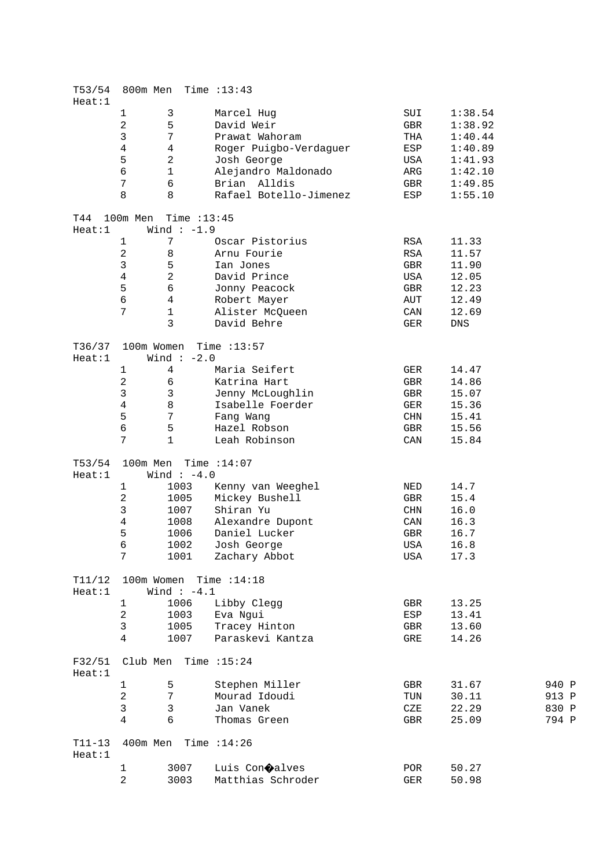| T53/54<br>Heat:1   |                                         | 800m Men Time : 13:43         |                             |            |         |       |
|--------------------|-----------------------------------------|-------------------------------|-----------------------------|------------|---------|-------|
|                    | 1                                       | $\mathsf{3}$                  | Marcel Hug                  | SUI        | 1:38.54 |       |
|                    | $\sqrt{2}$                              | 5                             | David Weir                  | GBR        | 1:38.92 |       |
|                    | 3                                       | 7                             | Prawat Wahoram              | THA        | 1:40.44 |       |
|                    | $\overline{4}$                          | 4                             | Roger Puigbo-Verdaguer      | ESP        | 1:40.89 |       |
|                    | 5                                       | $\overline{c}$                | Josh George                 | USA        | 1:41.93 |       |
|                    | 6                                       | $\mathbf 1$                   | Alejandro Maldonado         | ARG        | 1:42.10 |       |
|                    | $\overline{7}$                          | 6                             | Brian Alldis                |            |         |       |
|                    |                                         |                               |                             | GBR        | 1:49.85 |       |
|                    | 8                                       | 8                             | Rafael Botello-Jimenez      | ESP        | 1:55.10 |       |
| T44<br>Heat:1      | 100m Men                                | Time $:13:45$<br>Wind $:-1.9$ |                             |            |         |       |
|                    | $\mathbf{1}$                            | 7                             | Oscar Pistorius             | RSA        | 11.33   |       |
|                    | $\sqrt{2}$                              | 8                             | Arnu Fourie                 | RSA        | 11.57   |       |
|                    | $\mathbf{3}$                            | 5                             | Ian Jones                   | GBR        | 11.90   |       |
|                    | $\overline{4}$                          | $\overline{a}$                | David Prince                | USA        | 12.05   |       |
|                    | 5                                       | 6                             | Jonny Peacock               | GBR        | 12.23   |       |
|                    | 6                                       | $\overline{4}$                | Robert Mayer                | AUT        | 12.49   |       |
|                    | 7                                       | $\mathbf 1$                   | Alister McQueen             | CAN        | 12.69   |       |
|                    |                                         | 3                             |                             |            |         |       |
|                    |                                         |                               | David Behre                 | GER        | DNS     |       |
| T36/37<br>Heat:1   |                                         | Wind $:-2.0$                  | $100m$ Women Time : $13:57$ |            |         |       |
|                    | 1                                       | 4                             | Maria Seifert               | GER        | 14.47   |       |
|                    | $\overline{c}$                          | 6                             | Katrina Hart                | GBR        | 14.86   |       |
|                    | $\mathsf{3}$                            | $\mathbf{3}$                  | Jenny McLoughlin            | GBR        | 15.07   |       |
|                    | $\overline{4}$                          | 8                             | Isabelle Foerder            | GER        | 15.36   |       |
|                    | 5                                       | $\sqrt{ }$                    | Fang Wang                   | CHN        | 15.41   |       |
|                    | 6                                       | 5                             | Hazel Robson                | GBR        | 15.56   |       |
|                    | 7                                       |                               |                             |            |         |       |
|                    |                                         | 1                             | Leah Robinson               | CAN        | 15.84   |       |
| T53/54             |                                         | 100m Men Time $:14:07$        |                             |            |         |       |
| Heat:1             |                                         | Wind $:-4.0$                  |                             |            |         |       |
|                    | 1                                       | 1003                          | Kenny van Weeghel           | NED        | 14.7    |       |
|                    | $\overline{c}$                          | 1005                          | Mickey Bushell              | GBR        | 15.4    |       |
|                    | $\mathsf{3}$                            | 1007                          | Shiran Yu                   | CHN        | 16.0    |       |
|                    | $\overline{4}$                          | 1008                          | Alexandre Dupont            | CAN        | 16.3    |       |
|                    | 5                                       | 1006                          | Daniel Lucker               | GBR        | 16.7    |       |
|                    | 6                                       |                               | 1002 Josh George            | USA        | 16.8    |       |
|                    | 7                                       | 1001                          | Zachary Abbot               | USA        | 17.3    |       |
| T11/12<br>Heat:1   | 100m Women Time : 14:18<br>Wind $:-4.1$ |                               |                             |            |         |       |
|                    | 1                                       | 1006                          | Libby Clegg                 | GBR        | 13.25   |       |
|                    | $\sqrt{2}$                              | 1003                          | Eva Ngui                    | ESP        | 13.41   |       |
|                    | $\mathsf{3}$                            | 1005                          | Tracey Hinton               |            | 13.60   |       |
|                    | 4                                       | 1007                          | Paraskevi Kantza            | GBR<br>GRE | 14.26   |       |
| F32/51<br>Heat:1   | Club Men                                |                               | Time :15:24                 |            |         |       |
|                    |                                         |                               |                             |            |         |       |
|                    | 1                                       | 5                             | Stephen Miller              | GBR        | 31.67   | 940 P |
|                    | $\overline{c}$                          | 7                             | Mourad Idoudi               | TUN        | 30.11   | 913 P |
|                    | $\mathsf{3}$                            | $\mathfrak{Z}$                | Jan Vanek                   | CZE        | 22.29   | 830 P |
|                    | $\overline{4}$                          | 6                             | Thomas Green                | GBR        | 25.09   | 794 P |
| $T11-13$<br>Heat:1 |                                         | 400m Men Time : 14:26         |                             |            |         |       |
|                    | 1                                       | 3007                          | Luis Con <b>O</b> alves     | POR        | 50.27   |       |
|                    | $\overline{a}$                          | 3003                          | Matthias Schroder           | GER        | 50.98   |       |
|                    |                                         |                               |                             |            |         |       |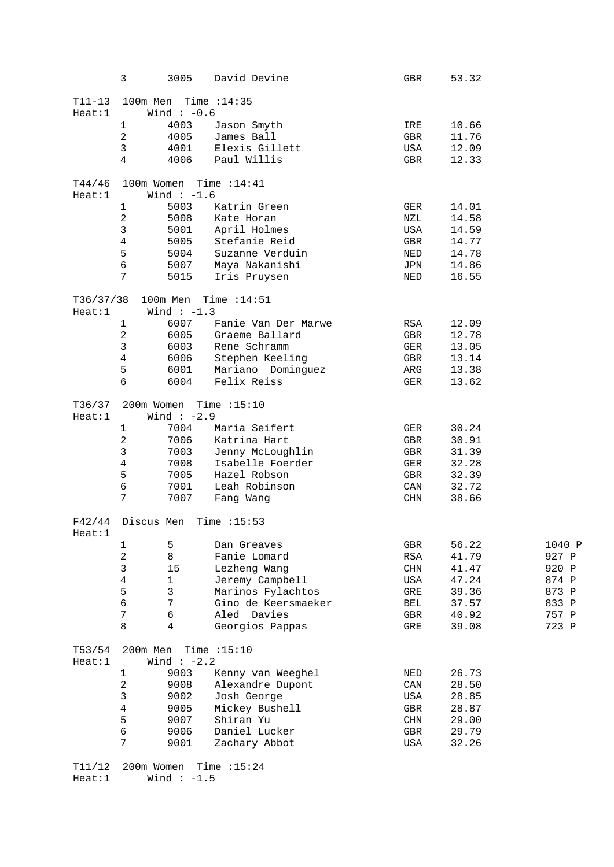|                      | 3                                          | 3005         | David Devine                | GBR                  | 53.32        |        |  |
|----------------------|--------------------------------------------|--------------|-----------------------------|----------------------|--------------|--------|--|
| $T11 - 13$<br>Heat:1 | 100m Men Time : 14:35<br>Wind $:-0.6$      |              |                             |                      |              |        |  |
|                      | $1\,$                                      | 4003         | Jason Smyth                 | IRE                  | 10.66        |        |  |
|                      | $\overline{2}$                             | 4005         | James Ball                  | GBR                  | 11.76        |        |  |
|                      | 3                                          |              | 4001 Elexis Gillett         | USA                  | 12.09        |        |  |
|                      | $\overline{4}$                             | 4006         | Paul Willis                 | GBR                  | 12.33        |        |  |
| T44/46               |                                            |              | $100m$ Women Time : $14:41$ |                      |              |        |  |
| Heat:1               |                                            | Wind $:-1.6$ |                             |                      |              |        |  |
|                      | $\mathbf{1}$                               | 5003         | Katrin Green                | GER                  | 14.01        |        |  |
|                      | $\overline{c}$                             | 5008         | Kate Horan                  | NZL                  | 14.58        |        |  |
|                      | 3                                          | 5001         | April Holmes                | USA                  | 14.59        |        |  |
|                      | $\overline{4}$                             | 5005         | Stefanie Reid               | GBR                  | 14.77        |        |  |
|                      | 5                                          | 5004         | Suzanne Verduin             |                      | 14.78<br>NED |        |  |
|                      | б                                          | 5007         | Maya Nakanishi              |                      | JPN<br>14.86 |        |  |
|                      | 7                                          | 5015         | Iris Pruysen                | NED                  | 16.55        |        |  |
| T36/37/38<br>Heat:1  |                                            | Wind $:-1.3$ | 100m Men Time : 14:51       |                      |              |        |  |
|                      | $\mathbf 1$                                | 6007         | Fanie Van Der Marwe         | RSA                  | 12.09        |        |  |
|                      | $\overline{c}$                             | 6005         | Graeme Ballard              | GBR                  | 12.78        |        |  |
|                      | 3                                          | 6003         | Rene Schramm                | GER                  | 13.05        |        |  |
|                      | $\overline{4}$                             | 6006         | Stephen Keeling             | GBR                  | 13.14        |        |  |
|                      | 5                                          | 6001         | Mariano Dominguez           |                      | ARG<br>13.38 |        |  |
|                      | 6                                          | 6004         | Felix Reiss                 | GER                  | 13.62        |        |  |
| T36/37<br>Heat:1     | $200$ m Women Time : 15:10<br>Wind $:-2.9$ |              |                             |                      |              |        |  |
|                      | $\mathbf{1}$                               | 7004         | Maria Seifert               | GER                  | 30.24        |        |  |
|                      | $\overline{c}$                             | 7006         | Katrina Hart                | GBR                  | 30.91        |        |  |
|                      | 3                                          | 7003         | Jenny McLoughlin            | GBR                  | 31.39        |        |  |
|                      | 4                                          | 7008         | Isabelle Foerder            | GER                  | 32.28        |        |  |
|                      | 5                                          | 7005         | Hazel Robson                | GBR                  | 32.39        |        |  |
|                      | б                                          | 7001         | Leah Robinson               | CAN                  | 32.72        |        |  |
|                      | 7                                          | 7007         | Fang Wang                   | CHN                  | 38.66        |        |  |
| F42/44<br>Heat:1     |                                            |              | Discus Men Time :15:53      |                      |              |        |  |
|                      | $\mathbf{1}$                               | 5            | Dan Greaves                 | GBR                  | 56.22        | 1040 P |  |
|                      | 2                                          | 8            | Fanie Lomard                | RSA                  | 41.79        | 927 P  |  |
|                      | 3                                          | 15           | Lezheng Wang                | CHN                  | 41.47        | 920 P  |  |
|                      | 4                                          | $\mathbf 1$  | Jeremy Campbell             | USA                  | 47.24        | 874 P  |  |
|                      | 5                                          | $\mathsf{3}$ | Marinos Fylachtos           | GRE                  | 39.36        | 873 P  |  |
|                      | б                                          | 7            | Gino de Keersmaeker         | BEL                  | 37.57        | 833 P  |  |
|                      | 7                                          | 6            | Aled Davies                 | GBR                  | 40.92        | 757 P  |  |
|                      | 8                                          | 4            | Georgios Pappas             | GRE                  | 39.08        | 723 P  |  |
| T53/54               |                                            |              | 200m Men Time : 15:10       |                      |              |        |  |
| Heat:1               |                                            | Wind $:-2.2$ |                             |                      |              |        |  |
|                      | $\mathbf{1}$                               | 9003         | Kenny van Weeghel           | NED                  | 26.73        |        |  |
|                      | 2                                          | 9008         | Alexandre Dupont            | CAN                  | 28.50        |        |  |
|                      | 3                                          | 9002         | Josh George                 | USA                  | 28.85        |        |  |
|                      | $\overline{4}$                             | 9005         | Mickey Bushell              | $\operatorname{GBR}$ | 28.87        |        |  |
|                      | 5                                          | 9007         | Shiran Yu                   | CHN                  | 29.00        |        |  |
|                      | б                                          | 9006         | Daniel Lucker               | GBR                  | 29.79        |        |  |
|                      | 7                                          | 9001         | Zachary Abbot               | USA                  | 32.26        |        |  |
| T11/12               | 200m Women<br>Time $:15:24$                |              |                             |                      |              |        |  |

 $Heat:1$  Wind :  $-1.5$